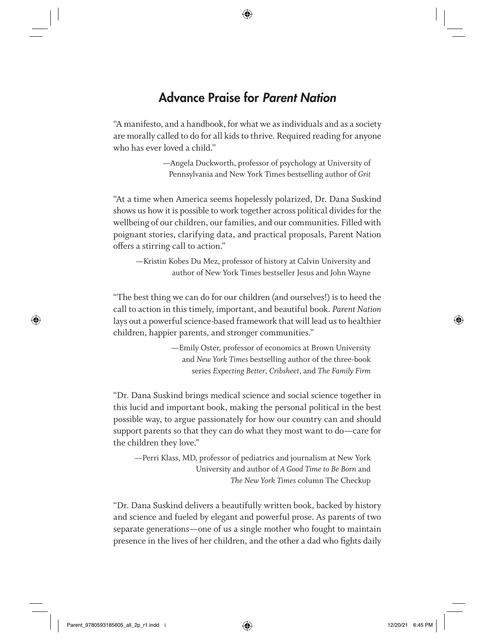## Advance Praise for Parent Nation

⊕

"A manifesto, and a handbook, for what we as individuals and as a society are morally called to do for all kids to thrive. Required reading for anyone who has ever loved a child."

> —Angela Duckworth, professor of psychology at University of Pennsylvania and New York Times bestselling author of *Grit*

"At a time when America seems hopelessly polarized, Dr. Dana Suskind shows us how it is possible to work together across political divides for the wellbeing of our children, our families, and our communities. Filled with poignant stories, clarifying data, and practical proposals, Parent Nation offers a stirring call to action."

—Kristin Kobes Du Mez, professor of history at Calvin University and author of New York Times bestseller Jesus and John Wayne

"The best thing we can do for our children (and ourselves!) is to heed the call to action in this timely, important, and beautiful book. *Parent Nation* lays out a powerful science-based framework that will lead us to healthier children, happier parents, and stronger communities."

> —Emily Oster, professor of economics at Brown University and *New York Times* bestselling author of the three-book series *Expecting Better*, *Cribsheet*, and *The Family Firm*

"Dr. Dana Suskind brings medical science and social science together in this lucid and important book, making the personal political in the best possible way, to argue passionately for how our country can and should support parents so that they can do what they most want to do—care for the children they love."

—Perri Klass, MD, professor of pediatrics and journalism at New York University and author of *A Good Time to Be Born* and *The New York Times* column The Checkup

"Dr. Dana Suskind delivers a beautifully written book, backed by history and science and fueled by elegant and powerful prose. As parents of two separate generations—one of us a single mother who fought to maintain presence in the lives of her children, and the other a dad who fights daily

⊕

 $\bigcirc$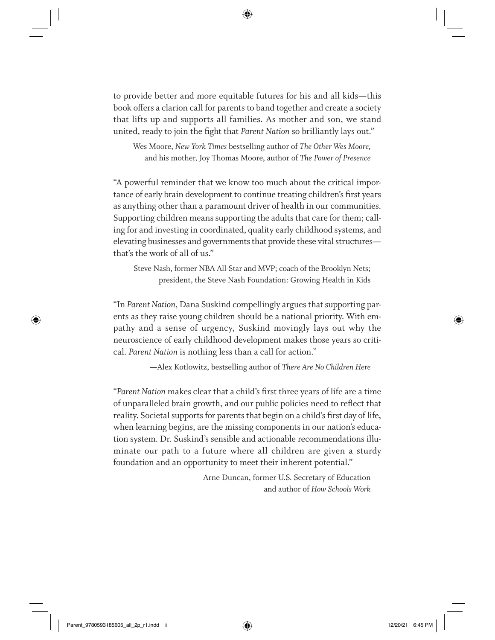to provide better and more equitable futures for his and all kids— this book offers a clarion call for parents to band together and create a society that lifts up and supports all families. As mother and son, we stand united, ready to join the fight that *Parent Nation* so brilliantly lays out."

—Wes Moore, *New York Times* bestselling author of *The Other Wes Moore,* and his mother, Joy Thomas Moore, author of *The Power of Presence*

"A powerful reminder that we know too much about the critical importance of early brain development to continue treating children's first years as anything other than a paramount driver of health in our communities. Supporting children means supporting the adults that care for them; calling for and investing in coordinated, quality early childhood systems, and elevating businesses and governments that provide these vital structures that's the work of all of us."

—Steve Nash, former NBA All-Star and MVP; coach of the Brooklyn Nets; president, the Steve Nash Foundation: Growing Health in Kids

"In *Parent Nation*, Dana Suskind compellingly argues that supporting parents as they raise young children should be a national priority. With empathy and a sense of urgency, Suskind movingly lays out why the neuroscience of early childhood development makes those years so critical. *Parent Nation* is nothing less than a call for action."

—Alex Kotlowitz, bestselling author of *There Are No Children Here*

"*Parent Nation* makes clear that a child's first three years of life are a time of unparalleled brain growth, and our public policies need to reflect that reality. Societal supports for parents that begin on a child's first day of life, when learning begins, are the missing components in our nation's education system. Dr. Suskind's sensible and actionable recommendations illuminate our path to a future where all children are given a sturdy foundation and an opportunity to meet their inherent potential."

> —Arne Duncan, former U.S. Secretary of Education and author of *How Schools Work*

⊕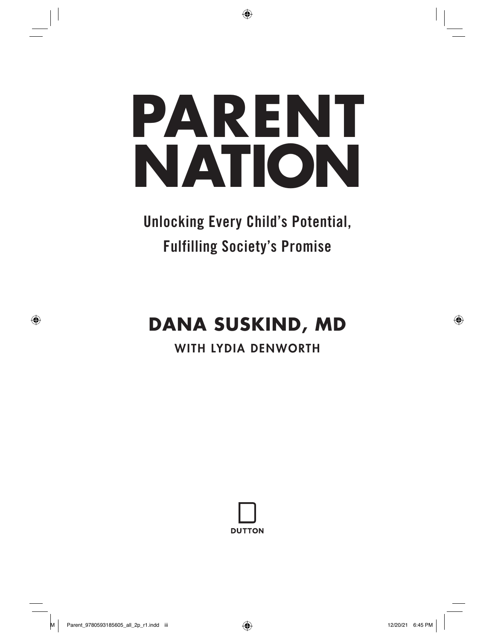# **PARENT NATION**

◈

Unlocking Every Child's Potential, Fulfilling Society's Promise

## **DANA SUSKIND, MD**

WITH LYDIA DENWORTH



Parent\_9780593185605\_all\_2p\_r1.indd iii 12/20/21 6:45 PM

⊕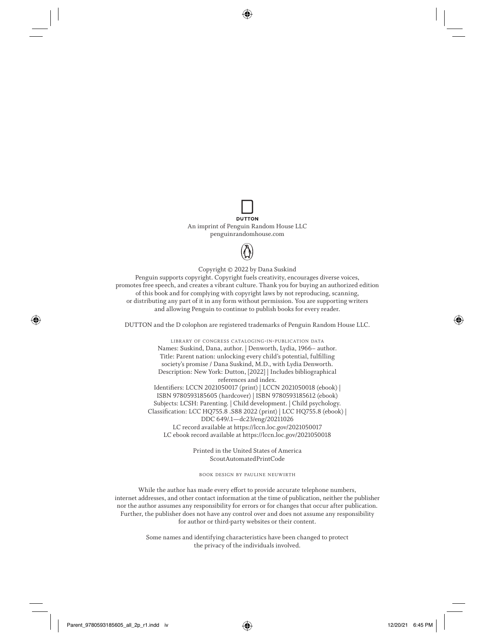#### **DUTTON** An imprint of Penguin Random House LLC penguinrandomhouse.com

Copyright © 2022 by Dana Suskind Penguin supports copyright. Copyright fuels creativity, encourages diverse voices, promotes free speech, and creates a vibrant culture. Thank you for buying an authorized edition of this book and for complying with copyright laws by not reproducing, scanning, or distributing any part of it in any form without permission. You are supporting writers and allowing Penguin to continue to publish books for every reader.

DUTTON and the D colophon are registered trademarks of Penguin Random House LLC.

LIBRARY OF CONGRESS CATALOGING-IN-PUBLICATION DATA Names: Suskind, Dana, author. | Denworth, Lydia, 1966– author. Title: Parent nation: unlocking every child's potential, fulfilling society's promise / Dana Suskind, M.D., with Lydia Denworth. Description: New York: Dutton, [2022] | Includes bibliographical references and index. Identifiers: LCCN 2021050017 (print) | LCCN 2021050018 (ebook) | ISBN 9780593185605 (hardcover) | ISBN 9780593185612 (ebook) Subjects: LCSH: Parenting. | Child development. | Child psychology. Classification: LCC HQ755.8 .S88 2022 (print) | LCC HQ755.8 (ebook) | DDC 649/.1—dc23/eng/20211026 LC record available at https://lccn.loc.gov/2021050017 LC ebook record available at https://lccn.loc.gov/2021050018

> Printed in the United States of America ScoutAutomatedPrintCode

#### BOOK DESIGN BY PAULINE NEUWIRTH

While the author has made every effort to provide accurate telephone numbers, internet addresses, and other contact information at the time of publication, neither the publisher nor the author assumes any responsibility for errors or for changes that occur after publication. Further, the publisher does not have any control over and does not assume any responsibility for author or third-party websites or their content.

> Some names and identifying characteristics have been changed to protect the privacy of the individuals involved.

Parent\_9780593185605\_all\_2p\_r1.indd iv  $\bigoplus$  12/20/21 6:45 PM

⊕

◈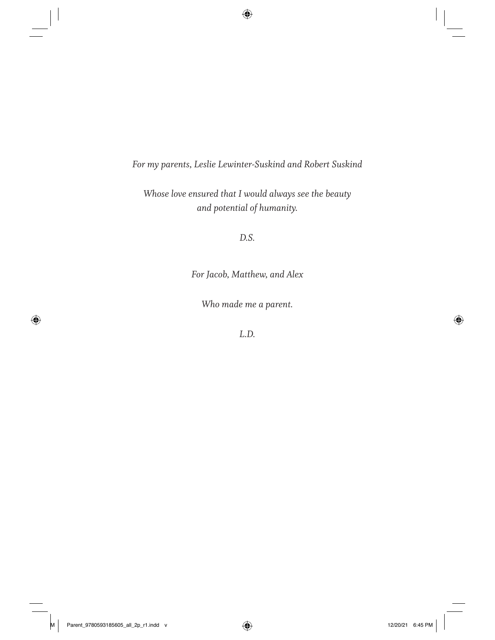$\bigoplus$ 

*For my parents, Leslie Lewinter-Suskind and Robert Suskind*

*Whose love ensured that I would always see the beauty and potential of humanity.*

*D.S.*

*For Jacob, Matthew, and Alex*

*Who made me a parent.*

*L.D.*

 $\bigoplus$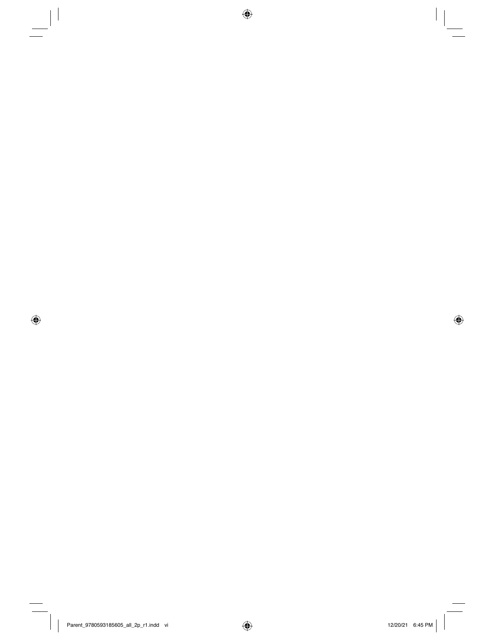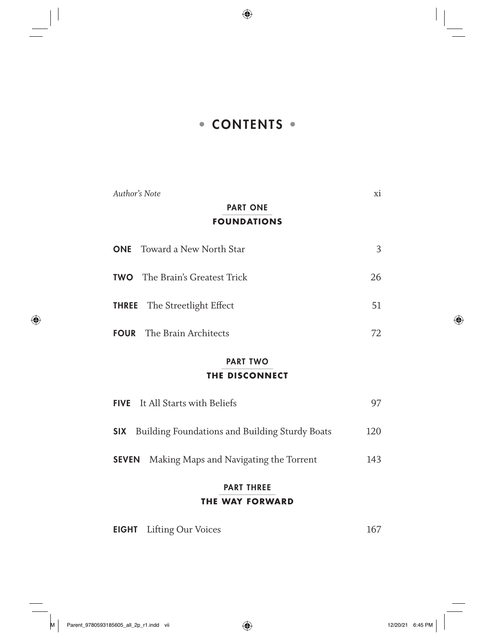$\bigoplus$ 

## • CONTENTS •

| Author's Note                         | X1 |  |  |  |
|---------------------------------------|----|--|--|--|
| <b>PART ONE</b>                       |    |  |  |  |
| <b>FOUNDATIONS</b>                    |    |  |  |  |
| <b>ONE</b> Toward a New North Star    | 3  |  |  |  |
| <b>TWO</b> The Brain's Greatest Trick | 26 |  |  |  |
| <b>THREE</b> The Streetlight Effect   | 51 |  |  |  |
| <b>FOUR</b> The Brain Architects      | 72 |  |  |  |
| <b>PART TWO</b>                       |    |  |  |  |

### **THE DISCONNECT**

| THE WAY FORWARD                                           |     |
|-----------------------------------------------------------|-----|
| <b>PART THREE</b>                                         |     |
| Making Maps and Navigating the Torrent<br><b>SEVEN</b>    | 143 |
| <b>SIX</b> Building Foundations and Building Sturdy Boats | 120 |
| <b>FIVE</b> It All Starts with Beliefs                    | 97  |

|  | <b>EIGHT</b> Lifting Our Voices |  |
|--|---------------------------------|--|
|--|---------------------------------|--|

 $\mathbb{R}^+$ 

 $\bigoplus$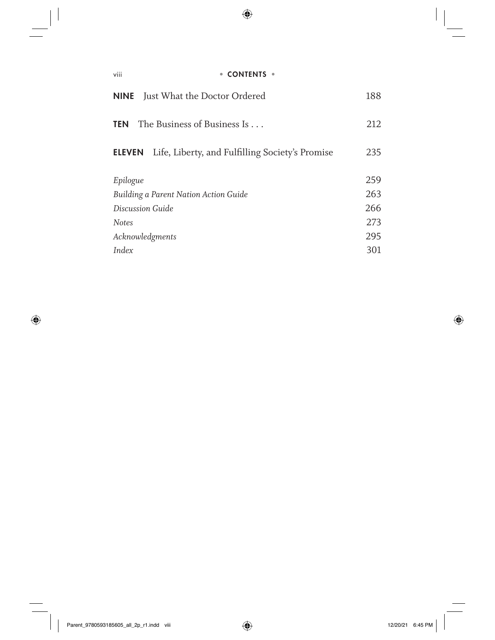$\bigoplus$ 

### viii • CONTENTS •

| <b>NINE</b> Just What the Doctor Ordered                         | 188 |
|------------------------------------------------------------------|-----|
| <b>TEN</b> The Business of Business Is $\ldots$                  | 212 |
| Life, Liberty, and Fulfilling Society's Promise<br><b>ELEVEN</b> | 235 |
| Epilogue                                                         | 259 |
| <b>Building a Parent Nation Action Guide</b>                     | 263 |
| Discussion Guide                                                 | 266 |
| Notes                                                            | 273 |
| Acknowledgments                                                  | 295 |
| Index                                                            | 301 |

 $\equiv^{\mid}$ 

 $\bigoplus$ 

 $\overline{a}$ 

 $\begin{array}{c} \begin{array}{c} \begin{array}{c} \end{array} \end{array} \end{array}$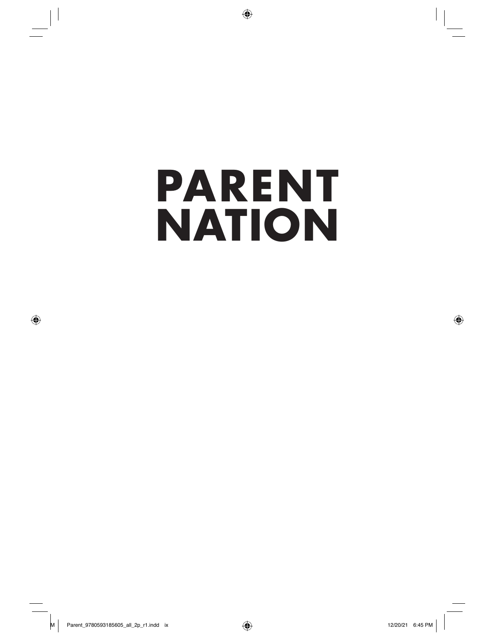# **PARENT NATION**

 $\bigoplus$ 

 $\frac{1}{1}$ 

 $\bigoplus$ 

 $\vert \ \vert$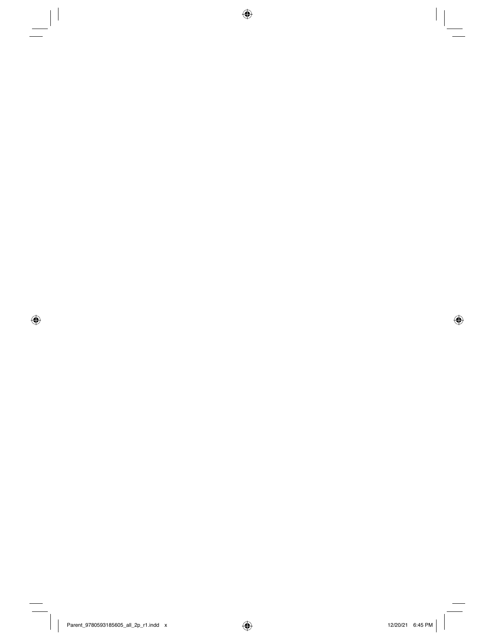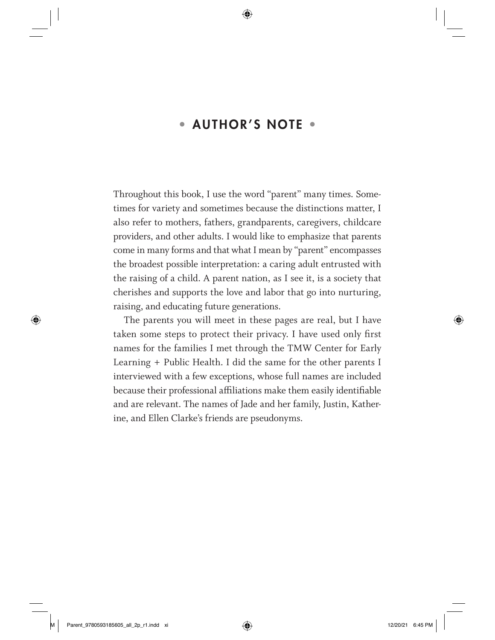## • AUTHOR'S NOTE •

⊕

Throughout this book, I use the word "parent" many times. Sometimes for variety and sometimes because the distinctions matter, I also refer to mothers, fathers, grandparents, caregivers, childcare providers, and other adults. I would like to emphasize that parents come in many forms and that what I mean by "parent" encompasses the broadest possible interpretation: a caring adult entrusted with the raising of a child. A parent nation, as I see it, is a society that cherishes and supports the love and labor that go into nurturing, raising, and educating future generations.

The parents you will meet in these pages are real, but I have taken some steps to protect their privacy. I have used only first names for the families I met through the TMW Center for Early Learning + Public Health. I did the same for the other parents I interviewed with a few exceptions, whose full names are included because their professional affiliations make them easily identifiable and are relevant. The names of Jade and her family, Justin, Katherine, and Ellen Clarke's friends are pseudonyms.

⊕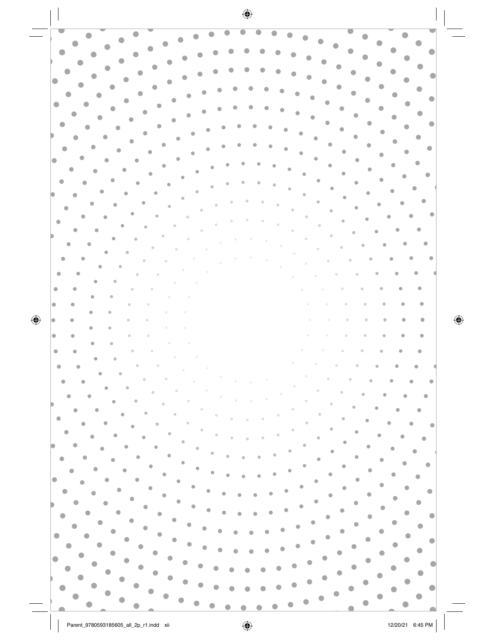|             | ♦                                                                                                                                                                                                                                                                                                                                                                                                                               |  |
|-------------|---------------------------------------------------------------------------------------------------------------------------------------------------------------------------------------------------------------------------------------------------------------------------------------------------------------------------------------------------------------------------------------------------------------------------------|--|
|             | U,                                                                                                                                                                                                                                                                                                                                                                                                                              |  |
|             |                                                                                                                                                                                                                                                                                                                                                                                                                                 |  |
|             |                                                                                                                                                                                                                                                                                                                                                                                                                                 |  |
|             |                                                                                                                                                                                                                                                                                                                                                                                                                                 |  |
|             | $\bullet$<br>0                                                                                                                                                                                                                                                                                                                                                                                                                  |  |
|             | O<br>G<br>$\bullet$<br>$\bullet$<br>D<br>$\bullet$<br>O<br>o<br>a<br>0                                                                                                                                                                                                                                                                                                                                                          |  |
|             | $\bullet$<br>a<br>0<br>œ<br>$\bullet$<br>$\bullet$<br>o<br>$\bullet$<br>$\bullet$<br>$\bullet$<br>$\bullet$                                                                                                                                                                                                                                                                                                                     |  |
|             | ٠<br>$\bullet$<br>a<br>$\bullet$<br>0<br>G<br>$\bullet$<br>$\bullet$<br>$\bullet$<br>٠                                                                                                                                                                                                                                                                                                                                          |  |
|             | O<br>O<br>۵<br>۰<br>$\bullet$<br>$\bullet$<br>۰<br>$\qquad \qquad \bullet$<br>$\bullet$<br>۰<br>$\bullet$<br>D<br>$\bullet$<br>$\bullet$<br>$\bullet$                                                                                                                                                                                                                                                                           |  |
|             | $\qquad \qquad \bullet$<br>۰<br>a<br>$\bullet$<br>$\circ$<br>$\qquad \qquad \bullet$<br>$\bullet$<br>$\bullet$<br>$\circ$<br>$\hskip 10pt \circ$<br>$\bullet$<br>$\bullet$<br>$\bullet$<br>$\qquad \qquad \bullet$<br>$\bullet$<br>$\hfill \textcircled{.}$<br>$\hfill \textcircled{1}$                                                                                                                                         |  |
|             | $\blacksquare$<br>$\bullet$<br>$\bullet$<br>$\circ$<br>$\hfill\ensuremath{\circ}$<br>$\hfill\textcircled{\ensuremath{\mathnormal{\sqcup}}\,}$<br>$\bullet$<br>$\qquad \qquad \bullet$<br>G<br>$\hfill\ensuremath{\circ}$<br>$\hfill\textcircled{\ensuremath{\mathnormal{\sqcup}}\,}$<br>n<br>$\circ$<br>$\circ$                                                                                                                 |  |
|             | $\odot$<br>۰<br>$\odot$<br>$\circledcirc$<br>$\bullet$<br>$\odot$<br>$\alpha$<br>$\bullet$<br>۰<br>٠<br>$\color{black} \bullet$<br>$\circ$<br>$\odot$<br>$\oplus$<br>$\odot$<br>$\bullet$<br>$\bullet$<br>$\circ$                                                                                                                                                                                                               |  |
|             | control of the<br>$\bullet$<br>$\bullet$<br>$\circledcirc$<br>٠<br>$\circ$<br>$\circ$<br>$\hspace{0.5cm} \circ$<br>$\qquad \qquad \bullet$<br>$\odot$<br>$\odot$<br>$\bullet$<br>$\bullet$<br>$\circ$<br>$\circ$<br>$\sim 100$<br>G<br>$\bullet$<br>$\bullet$<br>۰<br>$\hfill\ensuremath{\circ}$<br>$\hfill \textcircled{1}$<br>$\bullet$<br>$\circ$<br>$\bigcirc$                                                              |  |
|             | $\bullet$<br>$\bullet$<br>$\alpha$<br>$\sim 10^{-11}$<br>$\bullet$<br>$\bullet$<br>$\bullet$<br>$\bullet$<br>$\bullet$<br>$\bullet$<br>$\hskip 1.6cm \circ$<br>$\circ$<br>$\circ$                                                                                                                                                                                                                                               |  |
|             | $\qquad \qquad \bullet$<br>$\sim$<br>$\bullet$<br>$\odot$<br>$\bullet$<br>$\bullet$<br>$\bullet$<br>$\bullet$<br>$\bullet$<br>$\circ$<br>$\circ$<br>$\hskip 10pt \circ$<br>$_{\odot}$<br>$\circ$<br>$\bullet$<br>$\circ$<br>$\bullet$<br>$\circledcirc$                                                                                                                                                                         |  |
| $\bigoplus$ | $\bullet$<br>$\hfill \textcircled{.}$<br>$\bullet$<br>$\circ$<br>$\bullet$<br>$\hfill\textcircled{\ensuremath{\mathnormal{\iota}}\xspace}$<br>$\odot$<br>$\circ$<br>$\hfill \textcircled{1}$<br>O<br>$\circ$<br>$\bullet$<br>$\qquad \qquad \bullet$<br>$\odot$<br>$\odot$<br>$\bullet$<br>$\odot$<br>$\hfill\textcircled{\ensuremath{\mathnormal{\sqcup}}\,}$<br>$\qquad \qquad \bullet$<br>$\bullet$<br>$_{\odot}$<br>$\odot$ |  |
|             | $\bullet$<br>$\bullet$<br>$\qquad \qquad \bullet$<br>$\hfill \textcircled{1}$<br>$\circledcirc$<br>$\circ$<br>$\bullet$<br>$\bullet$<br>$\circledcirc$<br>$\bullet$<br>$\hfill\text{\rm\tiny 0}$<br>$\circ$<br>$\circ$<br>$\circ$<br>$\qquad \qquad \oplus$<br>$\bullet$<br>۰<br>$\bullet$<br>$\bullet$                                                                                                                         |  |
|             | $\circ$<br>$\odot$<br>$\qquad \qquad \bullet$<br>$\bullet$<br><b>COLL</b>                                                                                                                                                                                                                                                                                                                                                       |  |
|             |                                                                                                                                                                                                                                                                                                                                                                                                                                 |  |
|             |                                                                                                                                                                                                                                                                                                                                                                                                                                 |  |
|             | ۰                                                                                                                                                                                                                                                                                                                                                                                                                               |  |
|             |                                                                                                                                                                                                                                                                                                                                                                                                                                 |  |
|             | $\bullet$                                                                                                                                                                                                                                                                                                                                                                                                                       |  |
|             | G                                                                                                                                                                                                                                                                                                                                                                                                                               |  |
|             |                                                                                                                                                                                                                                                                                                                                                                                                                                 |  |
|             |                                                                                                                                                                                                                                                                                                                                                                                                                                 |  |
|             |                                                                                                                                                                                                                                                                                                                                                                                                                                 |  |
|             |                                                                                                                                                                                                                                                                                                                                                                                                                                 |  |
|             |                                                                                                                                                                                                                                                                                                                                                                                                                                 |  |
|             |                                                                                                                                                                                                                                                                                                                                                                                                                                 |  |
|             | $\bigoplus$<br>12/20/21 6:45 PM<br>Parent_9780593185605_all_2p_r1.indd xii                                                                                                                                                                                                                                                                                                                                                      |  |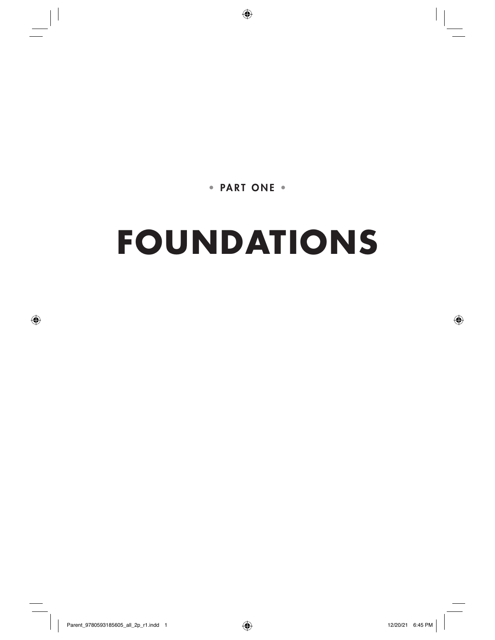• PART ONE •

 $\bigoplus$ 

## **FOUNDATIONS**

 $\vert \ \vert$ 

 $\bigoplus$ 

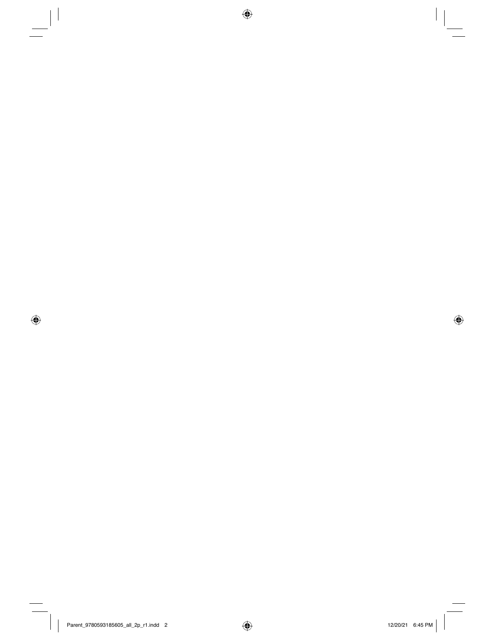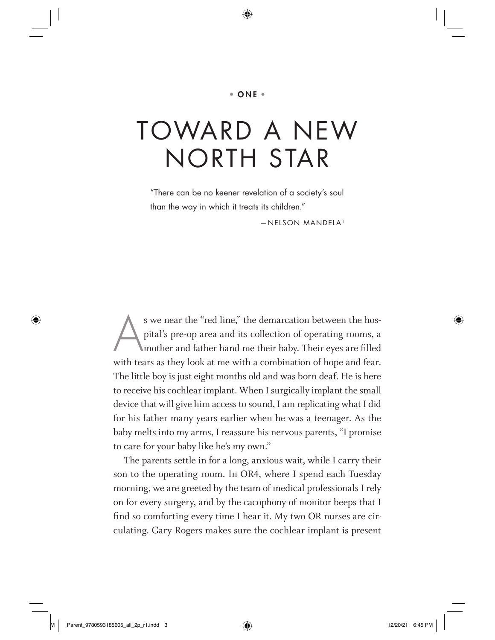#### • ONE •

⊕

## TOWARD A NEW NORTH STAR

"There can be no keener revelation of a society's soul than the way in which it treats its children."

—NELSON MANDELA<sup>1</sup>

A s we near the "red line," the demarcation between the hospital's pre-op area and its collection of operating rooms, a mother and father hand me their baby. Their eyes are filled with tears as they look at me with a combination of hope and fear. The little boy is just eight months old and was born deaf. He is here to receive his cochlear implant. When I surgically implant the small device that will give him access to sound, I am replicating what I did for his father many years earlier when he was a teenager. As the baby melts into my arms, I reassure his nervous parents, "I promise to care for your baby like he's my own."

The parents settle in for a long, anxious wait, while I carry their son to the operating room. In OR4, where I spend each Tuesday morning, we are greeted by the team of medical professionals I rely on for every surgery, and by the cacophony of monitor beeps that I find so comforting every time I hear it. My two OR nurses are circulating. Gary Rogers makes sure the cochlear implant is present

⊕

 $\bigcirc$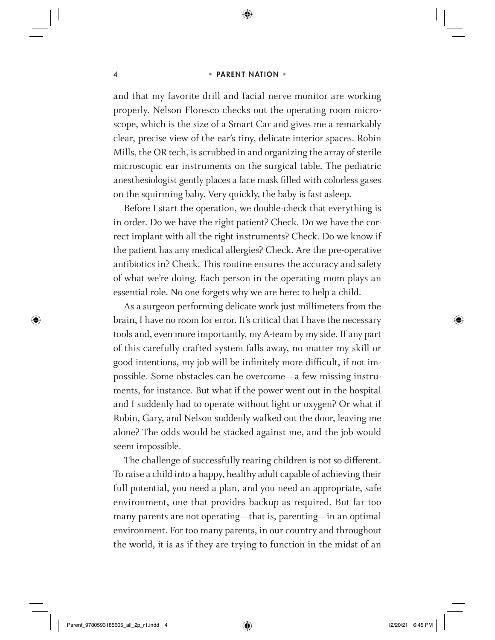⊕

and that my favorite drill and facial nerve monitor are working properly. Nelson Floresco checks out the operating room microscope, which is the size of a Smart Car and gives me a remarkably clear, precise view of the ear's tiny, delicate interior spaces. Robin Mills, the OR tech, is scrubbed in and organizing the array of sterile microscopic ear instruments on the surgical table. The pediatric anesthesiologist gently places a face mask filled with colorless gases on the squirming baby. Very quickly, the baby is fast asleep.

Before I start the operation, we double- check that everything is in order. Do we have the right patient? Check. Do we have the correct implant with all the right instruments? Check. Do we know if the patient has any medical allergies? Check. Are the pre-operative antibiotics in? Check. This routine ensures the accuracy and safety of what we're doing. Each person in the operating room plays an essential role. No one forgets why we are here: to help a child.

As a surgeon performing delicate work just millimeters from the brain, I have no room for error. It's critical that I have the necessary tools and, even more importantly, my A- team by my side. If any part of this carefully crafted system falls away, no matter my skill or good intentions, my job will be infinitely more difficult, if not impossible. Some obstacles can be overcome— a few missing instruments, for instance. But what if the power went out in the hospital and I suddenly had to operate without light or oxygen? Or what if Robin, Gary, and Nelson suddenly walked out the door, leaving me alone? The odds would be stacked against me, and the job would seem impossible.

The challenge of successfully rearing children is not so different. To raise a child into a happy, healthy adult capable of achieving their full potential, you need a plan, and you need an appropriate, safe environment, one that provides backup as required. But far too many parents are not operating—that is, parenting—in an optimal environment. For too many parents, in our country and throughout the world, it is as if they are trying to function in the midst of an

 $\bigcirc$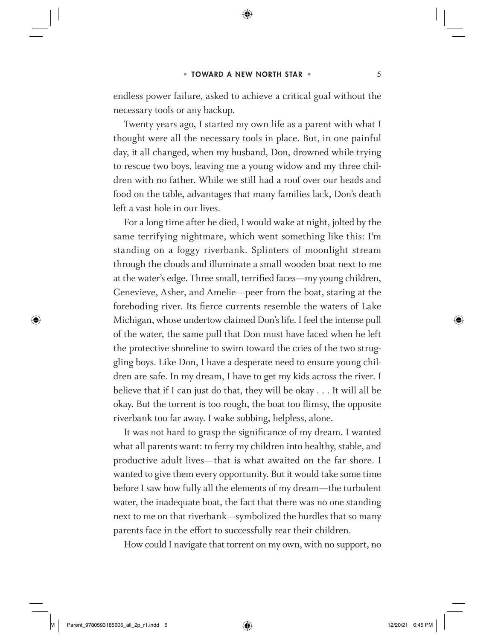endless power failure, asked to achieve a critical goal without the necessary tools or any backup.

Twenty years ago, I started my own life as a parent with what I thought were all the necessary tools in place. But, in one painful day, it all changed, when my husband, Don, drowned while trying to rescue two boys, leaving me a young widow and my three children with no father. While we still had a roof over our heads and food on the table, advantages that many families lack, Don's death left a vast hole in our lives.

For a long time after he died, I would wake at night, jolted by the same terrifying nightmare, which went something like this: I'm standing on a foggy riverbank. Splinters of moonlight stream through the clouds and illuminate a small wooden boat next to me at the water's edge. Three small, terrified faces—my young children, Genevieve, Asher, and Amelie— peer from the boat, staring at the foreboding river. Its fierce currents resemble the waters of Lake Michigan, whose undertow claimed Don's life. I feel the intense pull of the water, the same pull that Don must have faced when he left the protective shoreline to swim toward the cries of the two struggling boys. Like Don, I have a desperate need to ensure young children are safe. In my dream, I have to get my kids across the river. I believe that if I can just do that, they will be okay . . . It will all be okay. But the torrent is too rough, the boat too flimsy, the opposite riverbank too far away. I wake sobbing, helpless, alone.

It was not hard to grasp the significance of my dream. I wanted what all parents want: to ferry my children into healthy, stable, and productive adult lives— that is what awaited on the far shore. I wanted to give them every opportunity. But it would take some time before I saw how fully all the elements of my dream—the turbulent water, the inadequate boat, the fact that there was no one standing next to me on that riverbank—symbolized the hurdles that so many parents face in the effort to successfully rear their children.

How could I navigate that torrent on my own, with no support, no

⊕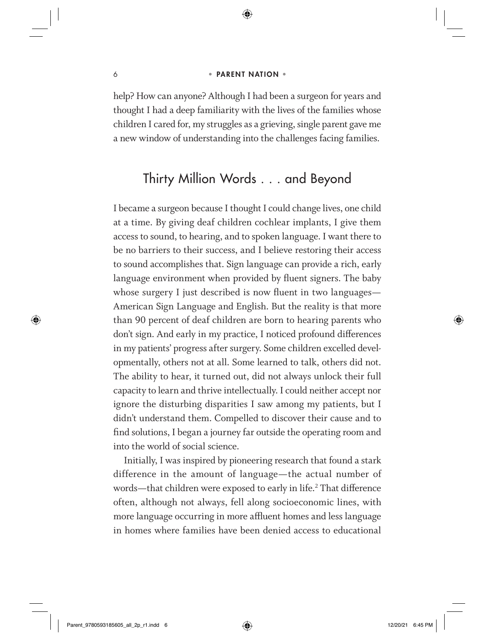⊕

⊕

help? How can anyone? Although I had been a surgeon for years and thought I had a deep familiarity with the lives of the families whose children I cared for, my struggles as a grieving, single parent gave me a new window of understanding into the challenges facing families.

## Thirty Million Words . . . and Beyond

I became a surgeon because I thought I could change lives, one child at a time. By giving deaf children cochlear implants, I give them access to sound, to hearing, and to spoken language. I want there to be no barriers to their success, and I believe restoring their access to sound accomplishes that. Sign language can provide a rich, early language environment when provided by fluent signers. The baby whose surgery I just described is now fluent in two languages— American Sign Language and English. But the reality is that more than 90 percent of deaf children are born to hearing parents who don't sign. And early in my practice, I noticed profound differences in my patients' progress after surgery. Some children excelled developmentally, others not at all. Some learned to talk, others did not. The ability to hear, it turned out, did not always unlock their full capacity to learn and thrive intellectually. I could neither accept nor ignore the disturbing disparities I saw among my patients, but I didn't understand them. Compelled to discover their cause and to find solutions, I began a journey far outside the operating room and into the world of social science.

Initially, I was inspired by pioneering research that found a stark difference in the amount of language— the actual number of words—that children were exposed to early in life.<sup>2</sup> That difference often, although not always, fell along socioeconomic lines, with more language occurring in more affluent homes and less language in homes where families have been denied access to educational

 $\bigcirc$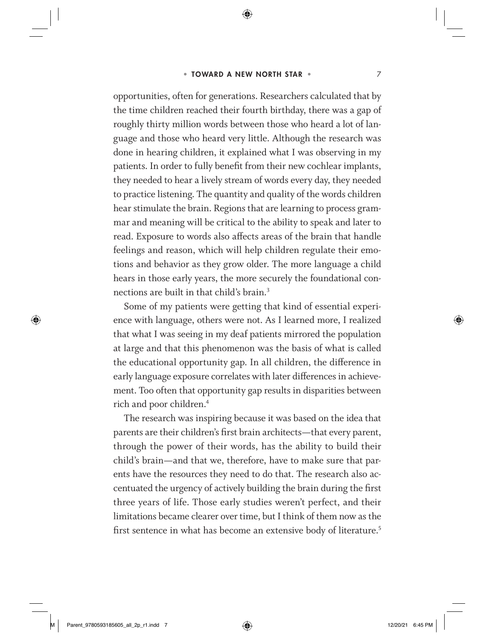⊕

opportunities, often for generations. Researchers calculated that by the time children reached their fourth birthday, there was a gap of roughly thirty million words between those who heard a lot of language and those who heard very little. Although the research was done in hearing children, it explained what I was observing in my patients. In order to fully benefit from their new cochlear implants, they needed to hear a lively stream of words every day, they needed to practice listening. The quantity and quality of the words children hear stimulate the brain. Regions that are learning to process grammar and meaning will be critical to the ability to speak and later to read. Exposure to words also affects areas of the brain that handle feelings and reason, which will help children regulate their emotions and behavior as they grow older. The more language a child hears in those early years, the more securely the foundational connections are built in that child's brain.<sup>3</sup>

Some of my patients were getting that kind of essential experience with language, others were not. As I learned more, I realized that what I was seeing in my deaf patients mirrored the population at large and that this phenomenon was the basis of what is called the educational opportunity gap. In all children, the difference in early language exposure correlates with later differences in achievement. Too often that opportunity gap results in disparities between rich and poor children.<sup>4</sup>

The research was inspiring because it was based on the idea that parents are their children's first brain architects—that every parent, through the power of their words, has the ability to build their child's brain— and that we, therefore, have to make sure that parents have the resources they need to do that. The research also accentuated the urgency of actively building the brain during the first three years of life. Those early studies weren't perfect, and their limitations became clearer over time, but I think of them now as the first sentence in what has become an extensive body of literature.<sup>5</sup>

⊕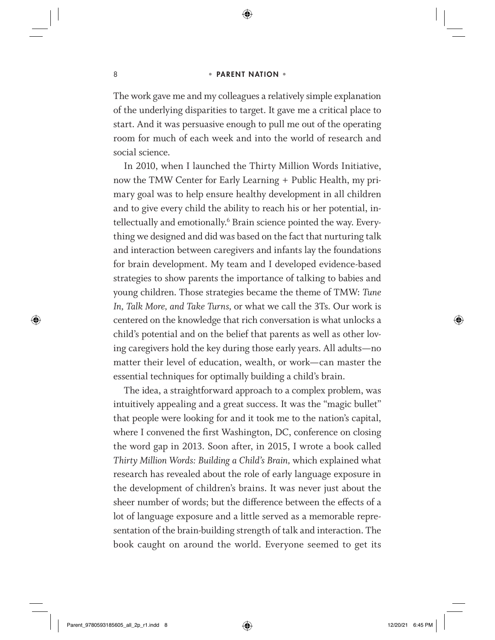⊕

The work gave me and my colleagues a relatively simple explanation of the underlying disparities to target. It gave me a critical place to start. And it was persuasive enough to pull me out of the operating room for much of each week and into the world of research and social science.

In 2010, when I launched the Thirty Million Words Initiative, now the TMW Center for Early Learning + Public Health, my primary goal was to help ensure healthy development in all children and to give every child the ability to reach his or her potential, intellectually and emotionally.<sup>6</sup> Brain science pointed the way. Everything we designed and did was based on the fact that nurturing talk and interaction between caregivers and infants lay the foundations for brain development. My team and I developed evidence-based strategies to show parents the importance of talking to babies and young children. Those strategies became the theme of TMW: *Tune In, Talk More, and Take Turns,* or what we call the 3Ts. Our work is centered on the knowledge that rich conversation is what unlocks a child's potential and on the belief that parents as well as other loving caregivers hold the key during those early years. All adults—no matter their level of education, wealth, or work— can master the essential techniques for optimally building a child's brain.

The idea, a straightforward approach to a complex problem, was intuitively appealing and a great success. It was the "magic bullet" that people were looking for and it took me to the nation's capital, where I convened the first Washington, DC, conference on closing the word gap in 2013. Soon after, in 2015, I wrote a book called *Thirty Million Words: Building a Child's Brain,* which explained what research has revealed about the role of early language exposure in the development of children's brains. It was never just about the sheer number of words; but the difference between the effects of a lot of language exposure and a little served as a memorable representation of the brain-building strength of talk and interaction. The book caught on around the world. Everyone seemed to get its

⊕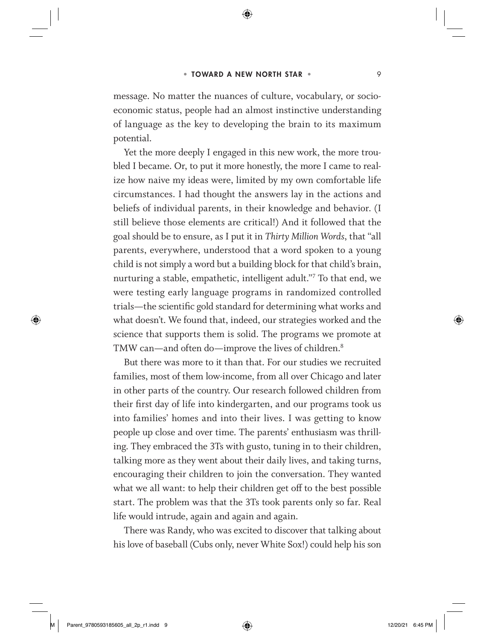⊕

message. No matter the nuances of culture, vocabulary, or socioeconomic status, people had an almost instinctive understanding of language as the key to developing the brain to its maximum potential.

Yet the more deeply I engaged in this new work, the more troubled I became. Or, to put it more honestly, the more I came to realize how naive my ideas were, limited by my own comfortable life circumstances. I had thought the answers lay in the actions and beliefs of individual parents, in their knowledge and behavior. (I still believe those elements are critical!) And it followed that the goal should be to ensure, as I put it in *Thirty Million Words*, that "all parents, everywhere, understood that a word spoken to a young child is not simply a word but a building block for that child's brain, nurturing a stable, empathetic, intelligent adult."<sup>7</sup> To that end, we were testing early language programs in randomized controlled trials—the scientific gold standard for determining what works and what doesn't. We found that, indeed, our strategies worked and the science that supports them is solid. The programs we promote at TMW can—and often do—improve the lives of children.<sup>8</sup>

But there was more to it than that. For our studies we recruited families, most of them low-income, from all over Chicago and later in other parts of the country. Our research followed children from their first day of life into kindergarten, and our programs took us into families' homes and into their lives. I was getting to know people up close and over time. The parents' enthusiasm was thrilling. They embraced the 3Ts with gusto, tuning in to their children, talking more as they went about their daily lives, and taking turns, encouraging their children to join the conversation. They wanted what we all want: to help their children get off to the best possible start. The problem was that the 3Ts took parents only so far. Real life would intrude, again and again and again.

There was Randy, who was excited to discover that talking about his love of baseball (Cubs only, never White Sox!) could help his son

 $\bigcirc$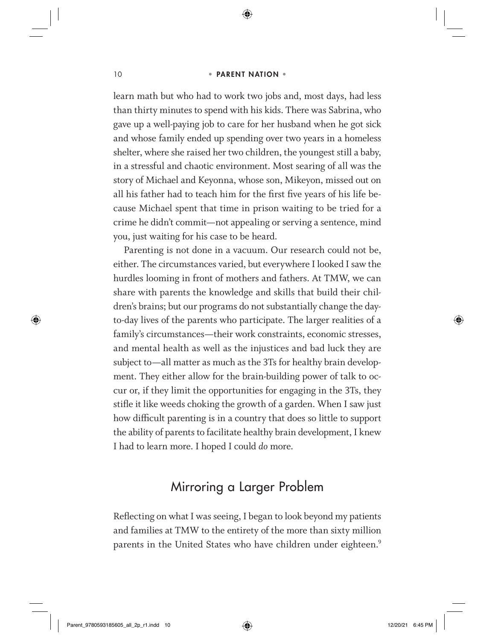⊕

learn math but who had to work two jobs and, most days, had less than thirty minutes to spend with his kids. There was Sabrina, who gave up a well-paying job to care for her husband when he got sick and whose family ended up spending over two years in a homeless shelter, where she raised her two children, the youngest still a baby, in a stressful and chaotic environment. Most searing of all was the story of Michael and Keyonna, whose son, Mikeyon, missed out on all his father had to teach him for the first five years of his life because Michael spent that time in prison waiting to be tried for a crime he didn't commit—not appealing or serving a sentence, mind you, just waiting for his case to be heard.

Parenting is not done in a vacuum. Our research could not be, either. The circumstances varied, but everywhere I looked I saw the hurdles looming in front of mothers and fathers. At TMW, we can share with parents the knowledge and skills that build their children's brains; but our programs do not substantially change the dayto- day lives of the parents who participate. The larger realities of a family's circumstances—their work constraints, economic stresses, and mental health as well as the injustices and bad luck they are subject to—all matter as much as the 3Ts for healthy brain development. They either allow for the brain-building power of talk to occur or, if they limit the opportunities for engaging in the 3Ts, they stifle it like weeds choking the growth of a garden. When I saw just how difficult parenting is in a country that does so little to support the ability of parents to facilitate healthy brain development, I knew I had to learn more. I hoped I could *do* more.

## Mirroring a Larger Problem

Reflecting on what I was seeing, I began to look beyond my patients and families at TMW to the entirety of the more than sixty million parents in the United States who have children under eighteen.<sup>9</sup>

⊕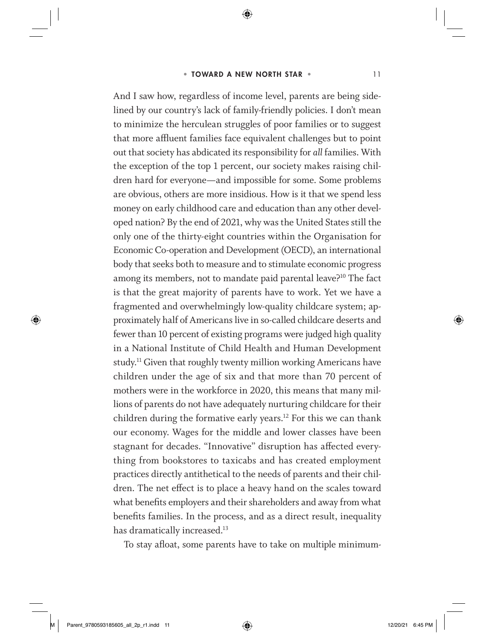⊕

And I saw how, regardless of income level, parents are being sidelined by our country's lack of family-friendly policies. I don't mean to minimize the herculean struggles of poor families or to suggest that more affluent families face equivalent challenges but to point out that society has abdicated its responsibility for *all* families. With the exception of the top 1 percent, our society makes raising children hard for everyone— and impossible for some. Some problems are obvious, others are more insidious. How is it that we spend less money on early childhood care and education than any other developed nation? By the end of 2021, why was the United States still the only one of the thirty- eight countries within the Organisation for Economic Co-operation and Development (OECD), an international body that seeks both to measure and to stimulate economic progress among its members, not to mandate paid parental leave?<sup>10</sup> The fact is that the great majority of parents have to work. Yet we have a fragmented and overwhelmingly low-quality childcare system; approximately half of Americans live in so- called childcare deserts and fewer than 10 percent of existing programs were judged high quality in a National Institute of Child Health and Human Development study.<sup>11</sup> Given that roughly twenty million working Americans have children under the age of six and that more than 70 percent of mothers were in the workforce in 2020, this means that many millions of parents do not have adequately nurturing childcare for their children during the formative early years.<sup>12</sup> For this we can thank our economy. Wages for the middle and lower classes have been stagnant for decades. "Innovative" disruption has affected everything from bookstores to taxicabs and has created employment practices directly antithetical to the needs of parents and their children. The net effect is to place a heavy hand on the scales toward what benefits employers and their shareholders and away from what benefits families. In the process, and as a direct result, inequality has dramatically increased.<sup>13</sup>

To stay afloat, some parents have to take on multiple minimum-

6:45 PM Parent\_9780593185605\_all\_2p\_r1.indd 11 12/20/21 6:45 PM

⊕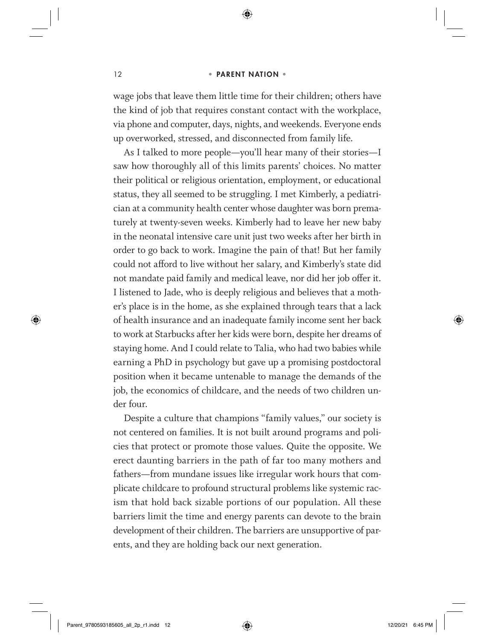⊕

 wage jobs that leave them little time for their children; others have the kind of job that requires constant contact with the workplace, via phone and computer, days, nights, and weekends. Everyone ends up overworked, stressed, and disconnected from family life.

As I talked to more people—you'll hear many of their stories—I saw how thoroughly all of this limits parents' choices. No matter their political or religious orientation, employment, or educational status, they all seemed to be struggling. I met Kimberly, a pediatrician at a community health center whose daughter was born prematurely at twenty-seven weeks. Kimberly had to leave her new baby in the neonatal intensive care unit just two weeks after her birth in order to go back to work. Imagine the pain of that! But her family could not afford to live without her salary, and Kimberly's state did not mandate paid family and medical leave, nor did her job offer it. I listened to Jade, who is deeply religious and believes that a mother's place is in the home, as she explained through tears that a lack of health insurance and an inadequate family income sent her back to work at Starbucks after her kids were born, despite her dreams of staying home. And I could relate to Talia, who had two babies while earning a PhD in psychology but gave up a promising postdoctoral position when it became untenable to manage the demands of the job, the economics of childcare, and the needs of two children under four.

Despite a culture that champions "family values," our society is not centered on families. It is not built around programs and policies that protect or promote those values. Quite the opposite. We erect daunting barriers in the path of far too many mothers and fathers—from mundane issues like irregular work hours that complicate childcare to profound structural problems like systemic racism that hold back sizable portions of our population. All these barriers limit the time and energy parents can devote to the brain development of their children. The barriers are unsupportive of parents, and they are holding back our next generation.

⊕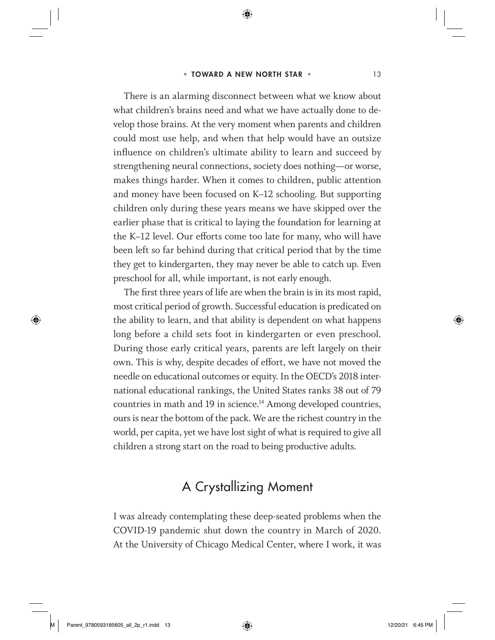⊕

There is an alarming disconnect between what we know about what children's brains need and what we have actually done to develop those brains. At the very moment when parents and children could most use help, and when that help would have an outsize influence on children's ultimate ability to learn and succeed by strengthening neural connections, society does nothing—or worse, makes things harder. When it comes to children, public attention and money have been focused on K–12 schooling. But supporting children only during these years means we have skipped over the earlier phase that is critical to laying the foundation for learning at the K–12 level. Our efforts come too late for many, who will have been left so far behind during that critical period that by the time they get to kindergarten, they may never be able to catch up. Even preschool for all, while important, is not early enough.

The first three years of life are when the brain is in its most rapid, most critical period of growth. Successful education is predicated on the ability to learn, and that ability is dependent on what happens long before a child sets foot in kindergarten or even preschool. During those early critical years, parents are left largely on their own. This is why, despite decades of effort, we have not moved the needle on educational outcomes or equity. In the OECD's 2018 international educational rankings, the United States ranks 38 out of 79 countries in math and 19 in science.<sup>14</sup> Among developed countries, ours is near the bottom of the pack. We are the richest country in the world, per capita, yet we have lost sight of what is required to give all children a strong start on the road to being productive adults.

## A Crystallizing Moment

I was already contemplating these deep- seated problems when the COVID-19 pandemic shut down the country in March of 2020. At the University of Chicago Medical Center, where I work, it was

⊕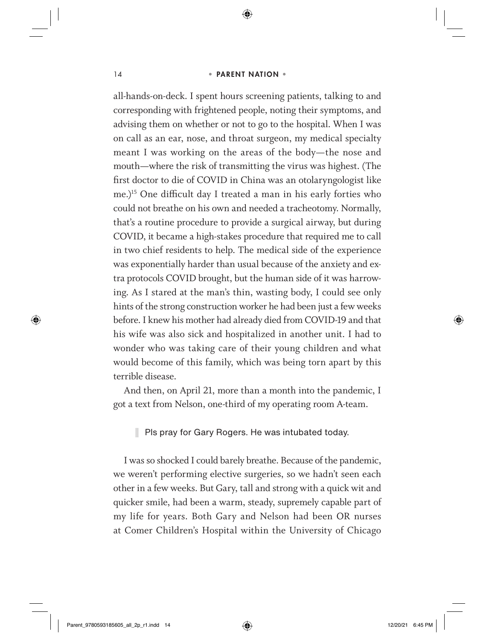⊕

all-hands-on-deck. I spent hours screening patients, talking to and corresponding with frightened people, noting their symptoms, and advising them on whether or not to go to the hospital. When I was on call as an ear, nose, and throat surgeon, my medical specialty meant I was working on the areas of the body— the nose and mouth—where the risk of transmitting the virus was highest. (The first doctor to die of COVID in China was an otolaryngologist like me.)<sup>15</sup> One difficult day I treated a man in his early forties who could not breathe on his own and needed a tracheotomy. Normally, that's a routine procedure to provide a surgical airway, but during COVID, it became a high-stakes procedure that required me to call in two chief residents to help. The medical side of the experience was exponentially harder than usual because of the anxiety and extra protocols COVID brought, but the human side of it was harrowing. As I stared at the man's thin, wasting body, I could see only hints of the strong construction worker he had been just a few weeks before. I knew his mother had already died from COVID-19 and that his wife was also sick and hospitalized in another unit. I had to wonder who was taking care of their young children and what would become of this family, which was being torn apart by this terrible disease.

And then, on April 21, more than a month into the pandemic, I got a text from Nelson, one-third of my operating room A-team.

Pls pray for Gary Rogers. He was intubated today.

I was so shocked I could barely breathe. Because of the pandemic, we weren't performing elective surgeries, so we hadn't seen each other in a few weeks. But Gary, tall and strong with a quick wit and quicker smile, had been a warm, steady, supremely capable part of my life for years. Both Gary and Nelson had been OR nurses at Comer Children's Hospital within the University of Chicago

⊕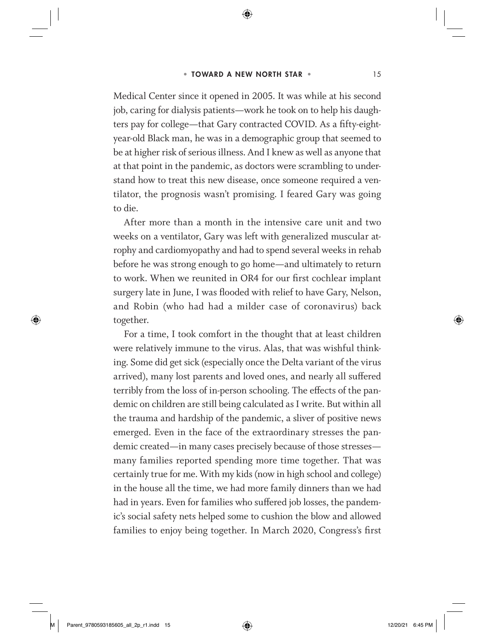⊕

Medical Center since it opened in 2005. It was while at his second job, caring for dialysis patients—work he took on to help his daughters pay for college—that Gary contracted COVID. As a fifty-eightyear-old Black man, he was in a demographic group that seemed to be at higher risk of serious illness. And I knew as well as anyone that at that point in the pandemic, as doctors were scrambling to understand how to treat this new disease, once someone required a ventilator, the prognosis wasn't promising. I feared Gary was going to die.

After more than a month in the intensive care unit and two weeks on a ventilator, Gary was left with generalized muscular atrophy and cardiomyopathy and had to spend several weeks in rehab before he was strong enough to go home—and ultimately to return to work. When we reunited in OR4 for our first cochlear implant surgery late in June, I was flooded with relief to have Gary, Nelson, and Robin (who had had a milder case of coronavirus) back together.

For a time, I took comfort in the thought that at least children were relatively immune to the virus. Alas, that was wishful thinking. Some did get sick (especially once the Delta variant of the virus arrived), many lost parents and loved ones, and nearly all suffered terribly from the loss of in- person schooling. The effects of the pandemic on children are still being calculated as I write. But within all the trauma and hardship of the pandemic, a sliver of positive news emerged. Even in the face of the extraordinary stresses the pandemic created—in many cases precisely because of those stresses many families reported spending more time together. That was certainly true for me. With my kids (now in high school and college) in the house all the time, we had more family dinners than we had had in years. Even for families who suffered job losses, the pandemic's social safety nets helped some to cushion the blow and allowed families to enjoy being together. In March 2020, Congress's first

⊕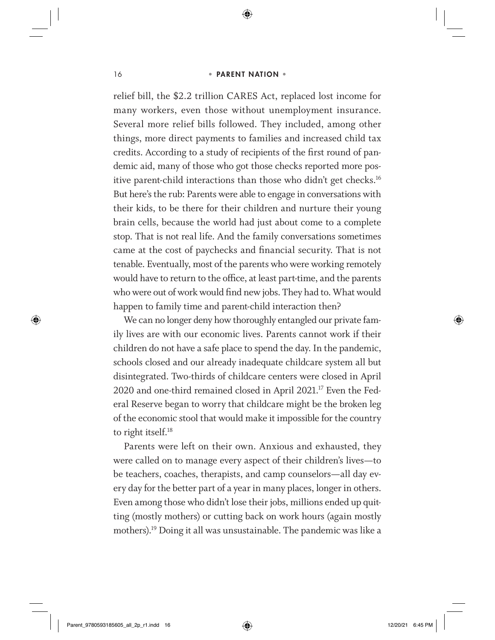⊕

relief bill, the \$2.2 trillion CARES Act, replaced lost income for many workers, even those without unemployment insurance. Several more relief bills followed. They included, among other things, more direct payments to families and increased child tax credits. According to a study of recipients of the first round of pandemic aid, many of those who got those checks reported more positive parent-child interactions than those who didn't get checks.<sup>16</sup> But here's the rub: Parents were able to engage in conversations with their kids, to be there for their children and nurture their young brain cells, because the world had just about come to a complete stop. That is not real life. And the family conversations sometimes came at the cost of paychecks and financial security. That is not tenable. Eventually, most of the parents who were working remotely would have to return to the office, at least part-time, and the parents who were out of work would find new jobs. They had to. What would happen to family time and parent-child interaction then?

We can no longer deny how thoroughly entangled our private family lives are with our economic lives. Parents cannot work if their children do not have a safe place to spend the day. In the pandemic, schools closed and our already inadequate childcare system all but disintegrated. Two-thirds of childcare centers were closed in April 2020 and one-third remained closed in April 2021.<sup>17</sup> Even the Federal Reserve began to worry that childcare might be the broken leg of the economic stool that would make it impossible for the country to right itself.<sup>18</sup>

Parents were left on their own. Anxious and exhausted, they were called on to manage every aspect of their children's lives— to be teachers, coaches, therapists, and camp counselors— all day every day for the better part of a year in many places, longer in others. Even among those who didn't lose their jobs, millions ended up quitting (mostly mothers) or cutting back on work hours (again mostly mothers).<sup>19</sup> Doing it all was unsustainable. The pandemic was like a

⊕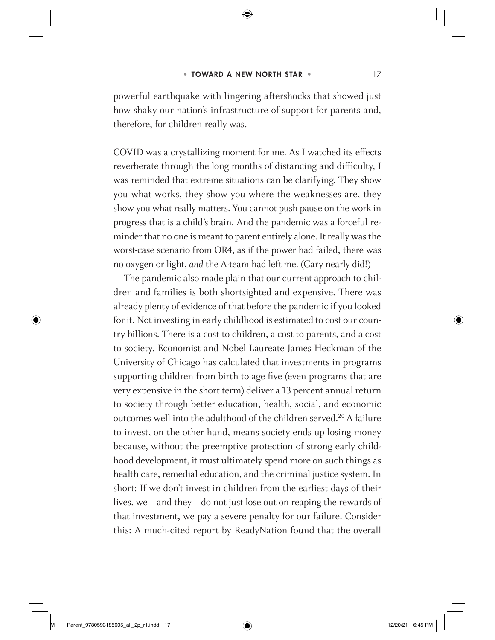⊕

powerful earthquake with lingering aftershocks that showed just how shaky our nation's infrastructure of support for parents and, therefore, for children really was.

COVID was a crystallizing moment for me. As I watched its effects reverberate through the long months of distancing and difficulty, I was reminded that extreme situations can be clarifying. They show you what works, they show you where the weaknesses are, they show you what really matters. You cannot push pause on the work in progress that is a child's brain. And the pandemic was a forceful reminder that no one is meant to parent entirely alone. It really was the worst-case scenario from OR4, as if the power had failed, there was no oxygen or light, *and* the A- team had left me. (Gary nearly did!)

The pandemic also made plain that our current approach to children and families is both shortsighted and expensive. There was already plenty of evidence of that before the pandemic if you looked for it. Not investing in early childhood is estimated to cost our country billions. There is a cost to children, a cost to parents, and a cost to society. Economist and Nobel Laureate James Heckman of the University of Chicago has calculated that investments in programs supporting children from birth to age five (even programs that are very expensive in the short term) deliver a 13 percent annual return to society through better education, health, social, and economic outcomes well into the adulthood of the children served.<sup>20</sup> A failure to invest, on the other hand, means society ends up losing money because, without the preemptive protection of strong early childhood development, it must ultimately spend more on such things as health care, remedial education, and the criminal justice system. In short: If we don't invest in children from the earliest days of their lives, we—and they—do not just lose out on reaping the rewards of that investment, we pay a severe penalty for our failure. Consider this: A much- cited report by ReadyNation found that the overall

⊕

 $\bigcirc$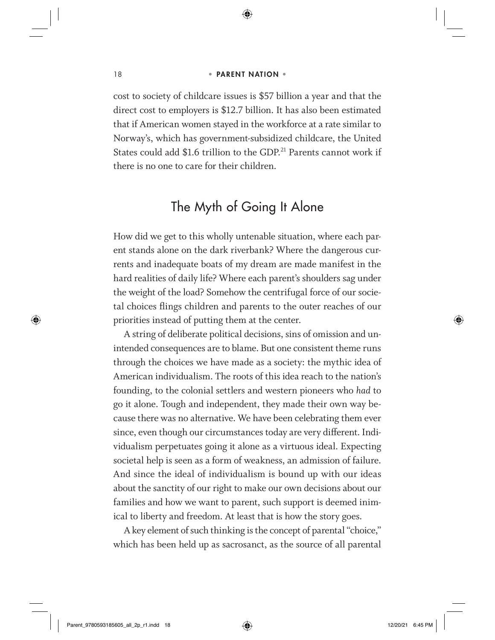⊕

cost to society of childcare issues is \$57 billion a year and that the direct cost to employers is \$12.7 billion. It has also been estimated that if American women stayed in the workforce at a rate similar to Norway's, which has government- subsidized childcare, the United States could add \$1.6 trillion to the GDP.<sup>21</sup> Parents cannot work if there is no one to care for their children.

## The Myth of Going It Alone

How did we get to this wholly untenable situation, where each parent stands alone on the dark riverbank? Where the dangerous currents and inadequate boats of my dream are made manifest in the hard realities of daily life? Where each parent's shoulders sag under the weight of the load? Somehow the centrifugal force of our societal choices flings children and parents to the outer reaches of our priorities instead of putting them at the center.

A string of deliberate political decisions, sins of omission and unintended consequences are to blame. But one consistent theme runs through the choices we have made as a society: the mythic idea of American individualism. The roots of this idea reach to the nation's founding, to the colonial settlers and western pioneers who *had* to go it alone. Tough and independent, they made their own way because there was no alternative. We have been celebrating them ever since, even though our circumstances today are very different. Individualism perpetuates going it alone as a virtuous ideal. Expecting societal help is seen as a form of weakness, an admission of failure. And since the ideal of individualism is bound up with our ideas about the sanctity of our right to make our own decisions about our families and how we want to parent, such support is deemed inimical to liberty and freedom. At least that is how the story goes.

A key element of such thinking is the concept of parental "choice," which has been held up as sacrosanct, as the source of all parental

⊕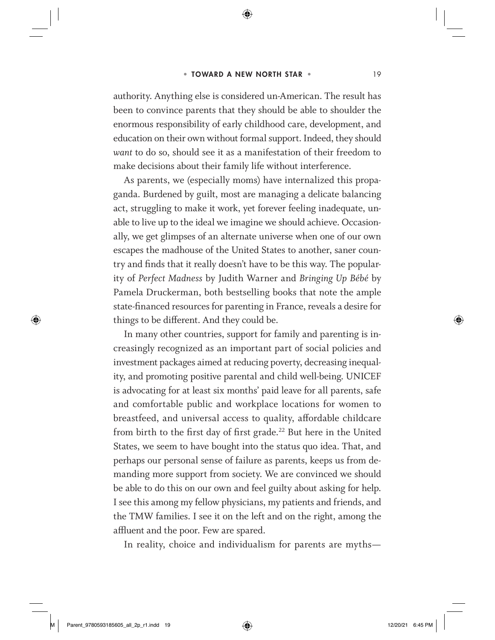⊕

authority. Anything else is considered un- American. The result has been to convince parents that they should be able to shoulder the enormous responsibility of early childhood care, development, and education on their own without formal support. Indeed, they should *want* to do so, should see it as a manifestation of their freedom to make decisions about their family life without interference.

As parents, we (especially moms) have internalized this propaganda. Burdened by guilt, most are managing a delicate balancing act, struggling to make it work, yet forever feeling inadequate, unable to live up to the ideal we imagine we should achieve. Occasionally, we get glimpses of an alternate universe when one of our own escapes the madhouse of the United States to another, saner country and finds that it really doesn't have to be this way. The popularity of *Perfect Madness* by Judith Warner and *Bringing Up Bébé* by Pamela Druckerman, both bestselling books that note the ample state-financed resources for parenting in France, reveals a desire for things to be different. And they could be.

In many other countries, support for family and parenting is increasingly recognized as an important part of social policies and investment packages aimed at reducing poverty, decreasing inequality, and promoting positive parental and child well-being. UNICEF is advocating for at least six months' paid leave for all parents, safe and comfortable public and workplace locations for women to breastfeed, and universal access to quality, affordable childcare from birth to the first day of first grade.<sup>22</sup> But here in the United States, we seem to have bought into the status quo idea. That, and perhaps our personal sense of failure as parents, keeps us from demanding more support from society. We are convinced we should be able to do this on our own and feel guilty about asking for help. I see this among my fellow physicians, my patients and friends, and the TMW families. I see it on the left and on the right, among the affluent and the poor. Few are spared.

In reality, choice and individualism for parents are myths—

⊕

 $\bigcirc$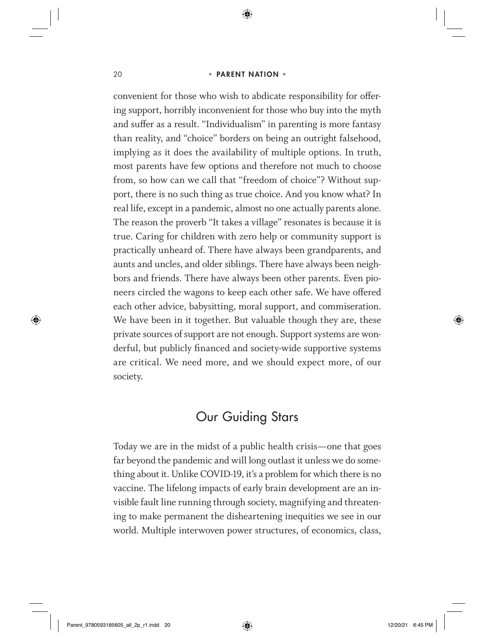⊕

convenient for those who wish to abdicate responsibility for offering support, horribly inconvenient for those who buy into the myth and suffer as a result. "Individualism" in parenting is more fantasy than reality, and "choice" borders on being an outright falsehood, implying as it does the availability of multiple options. In truth, most parents have few options and therefore not much to choose from, so how can we call that "freedom of choice"? Without support, there is no such thing as true choice. And you know what? In real life, except in a pandemic, almost no one actually parents alone. The reason the proverb "It takes a village" resonates is because it is true. Caring for children with zero help or community support is practically unheard of. There have always been grandparents, and aunts and uncles, and older siblings. There have always been neighbors and friends. There have always been other parents. Even pioneers circled the wagons to keep each other safe. We have offered each other advice, babysitting, moral support, and commiseration. We have been in it together. But valuable though they are, these private sources of support are not enough. Support systems are wonderful, but publicly financed and society-wide supportive systems are critical. We need more, and we should expect more, of our society.

## Our Guiding Stars

Today we are in the midst of a public health crisis— one that goes far beyond the pandemic and will long outlast it unless we do something about it. Unlike COVID-19, it's a problem for which there is no vaccine. The lifelong impacts of early brain development are an invisible fault line running through society, magnifying and threatening to make permanent the disheartening inequities we see in our world. Multiple interwoven power structures, of economics, class,

⊕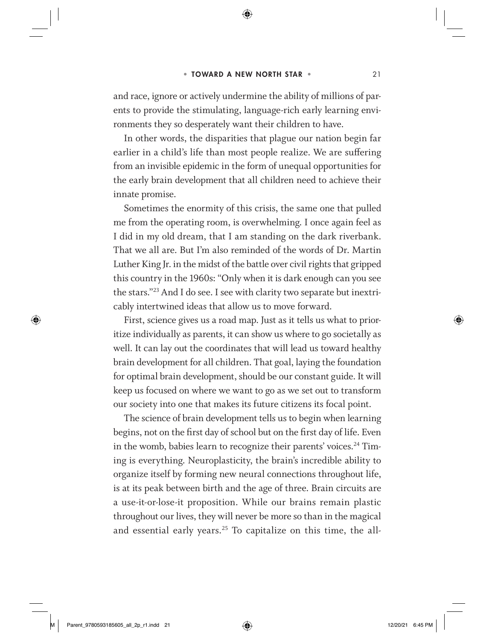and race, ignore or actively undermine the ability of millions of parents to provide the stimulating, language-rich early learning environments they so desperately want their children to have.

In other words, the disparities that plague our nation begin far earlier in a child's life than most people realize. We are suffering from an invisible epidemic in the form of unequal opportunities for the early brain development that all children need to achieve their innate promise.

Sometimes the enormity of this crisis, the same one that pulled me from the operating room, is overwhelming. I once again feel as I did in my old dream, that I am standing on the dark riverbank. That we all are. But I'm also reminded of the words of Dr. Martin Luther King Jr. in the midst of the battle over civil rights that gripped this country in the 1960s: "Only when it is dark enough can you see the stars."<sup>23</sup> And I do see. I see with clarity two separate but inextricably intertwined ideas that allow us to move forward.

First, science gives us a road map. Just as it tells us what to prioritize individually as parents, it can show us where to go societally as well. It can lay out the coordinates that will lead us toward healthy brain development for all children. That goal, laying the foundation for optimal brain development, should be our constant guide. It will keep us focused on where we want to go as we set out to transform our society into one that makes its future citizens its focal point.

The science of brain development tells us to begin when learning begins, not on the first day of school but on the first day of life. Even in the womb, babies learn to recognize their parents' voices. 24 Timing is everything. Neuroplasticity, the brain's incredible ability to organize itself by forming new neural connections throughout life, is at its peak between birth and the age of three. Brain circuits are a use-it-or-lose-it proposition. While our brains remain plastic throughout our lives, they will never be more so than in the magical and essential early years.25 To capitalize on this time, the all-

⊕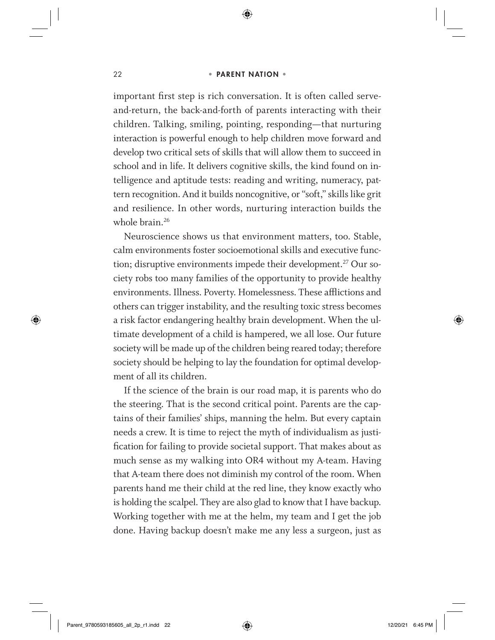⊕

important first step is rich conversation. It is often called serveand-return, the back-and-forth of parents interacting with their children. Talking, smiling, pointing, responding— that nurturing interaction is powerful enough to help children move forward and develop two critical sets of skills that will allow them to succeed in school and in life. It delivers cognitive skills, the kind found on intelligence and aptitude tests: reading and writing, numeracy, pattern recognition. And it builds noncognitive, or "soft," skills like grit and resilience. In other words, nurturing interaction builds the whole brain.<sup>26</sup>

Neuroscience shows us that environment matters, too. Stable, calm environments foster socioemotional skills and executive function; disruptive environments impede their development.<sup>27</sup> Our society robs too many families of the opportunity to provide healthy environments. Illness. Poverty. Homelessness. These afflictions and others can trigger instability, and the resulting toxic stress becomes a risk factor endangering healthy brain development. When the ultimate development of a child is hampered, we all lose. Our future society will be made up of the children being reared today; therefore society should be helping to lay the foundation for optimal development of all its children.

If the science of the brain is our road map, it is parents who do the steering. That is the second critical point. Parents are the captains of their families' ships, manning the helm. But every captain needs a crew. It is time to reject the myth of individualism as justification for failing to provide societal support. That makes about as much sense as my walking into OR4 without my A-team. Having that A- team there does not diminish my control of the room. When parents hand me their child at the red line, they know exactly who is holding the scalpel. They are also glad to know that I have backup. Working together with me at the helm, my team and I get the job done. Having backup doesn't make me any less a surgeon, just as

⊕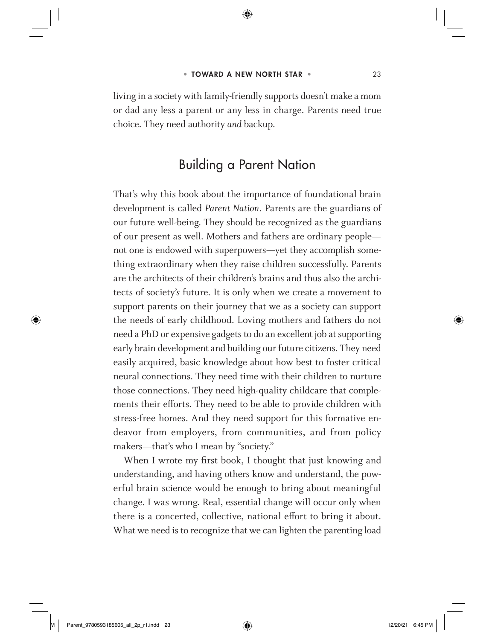⊕

living in a society with family-friendly supports doesn't make a mom or dad any less a parent or any less in charge. Parents need true choice. They need authority *and* backup.

### Building a Parent Nation

That's why this book about the importance of foundational brain development is called *Parent Nation*. Parents are the guardians of our future well-being. They should be recognized as the guardians of our present as well. Mothers and fathers are ordinary people not one is endowed with superpowers—yet they accomplish something extraordinary when they raise children successfully. Parents are the architects of their children's brains and thus also the architects of society'*s* future. It is only when we create a movement to support parents on their journey that we as a society can support the needs of early childhood. Loving mothers and fathers do not need a PhD or expensive gadgets to do an excellent job at supporting early brain development and building our future citizens. They need easily acquired, basic knowledge about how best to foster critical neural connections. They need time with their children to nurture those connections. They need high-quality childcare that complements their efforts. They need to be able to provide children with stress- free homes. And they need support for this formative endeavor from employers, from communities, and from policy makers—that's who I mean by "society."

When I wrote my first book, I thought that just knowing and understanding, and having others know and understand, the powerful brain science would be enough to bring about meaningful change. I was wrong. Real, essential change will occur only when there is a concerted, collective, national effort to bring it about. What we need is to recognize that we can lighten the parenting load

⊕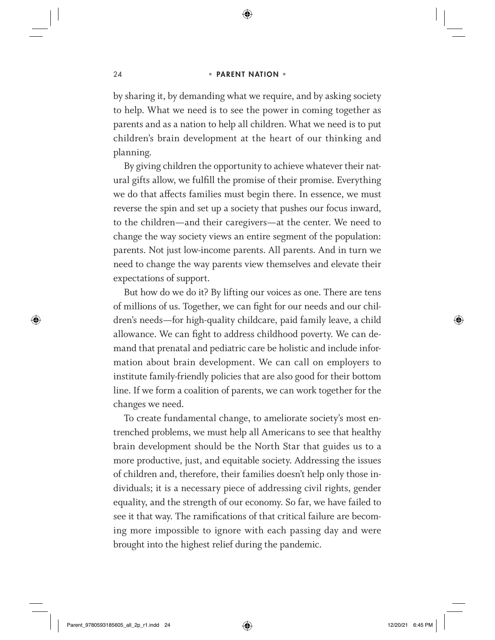⊕

by sharing it, by demanding what we require, and by asking society to help. What we need is to see the power in coming together as parents and as a nation to help all children. What we need is to put children's brain development at the heart of our thinking and planning.

By giving children the opportunity to achieve whatever their natural gifts allow, we fulfill the promise of their promise. Everything we do that affects families must begin there. In essence, we must reverse the spin and set up a society that pushes our focus inward, to the children— and their caregivers— at the center. We need to change the way society views an entire segment of the population: parents. Not just low-income parents. All parents. And in turn we need to change the way parents view themselves and elevate their expectations of support.

But how do we do it? By lifting our voices as one. There are tens of millions of us. Together, we can fight for our needs and our children's needs— for high- quality childcare, paid family leave, a child allowance. We can fight to address childhood poverty. We can demand that prenatal and pediatric care be holistic and include information about brain development. We can call on employers to institute family-friendly policies that are also good for their bottom line. If we form a coalition of parents, we can work together for the changes we need.

To create fundamental change, to ameliorate society's most entrenched problems, we must help all Americans to see that healthy brain development should be the North Star that guides us to a more productive, just, and equitable society. Addressing the issues of children and, therefore, their families doesn't help only those individuals; it is a necessary piece of addressing civil rights, gender equality, and the strength of our economy. So far, we have failed to see it that way. The ramifications of that critical failure are becoming more impossible to ignore with each passing day and were brought into the highest relief during the pandemic.

⊕

 $\bigcirc$